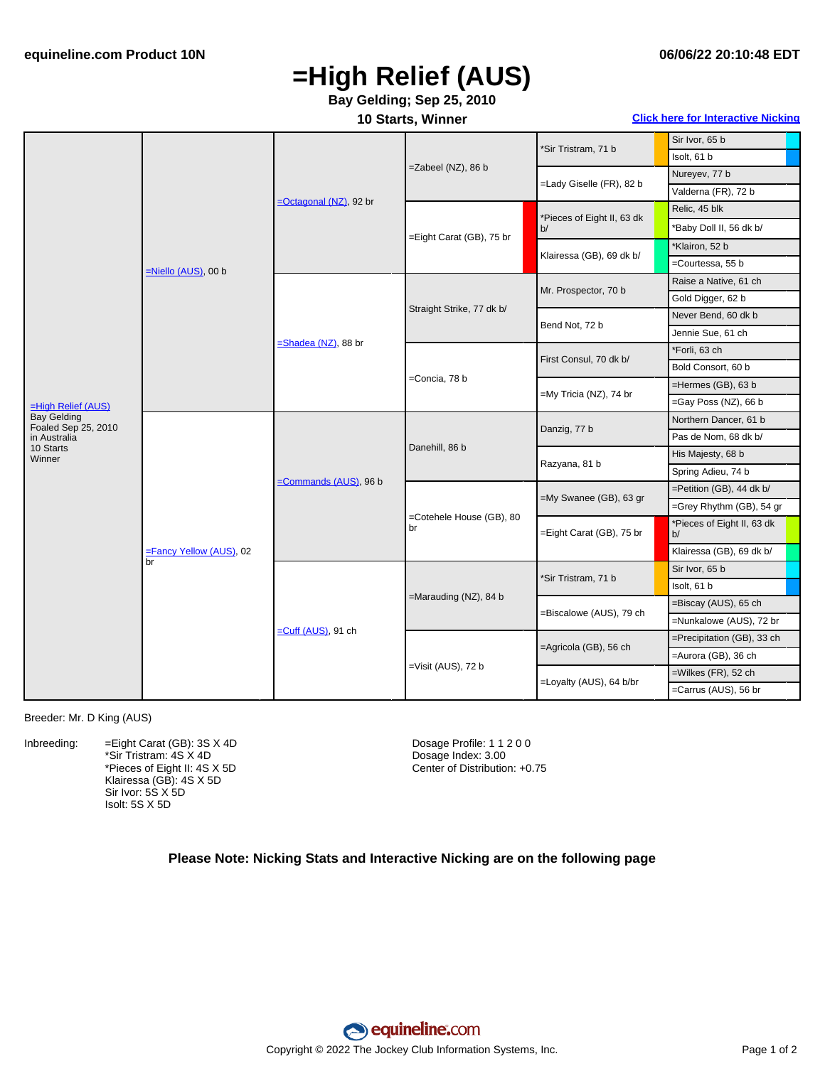# **=High Relief (AUS)**

### **Bay Gelding; Sep 25, 2010**

**10 Starts, Winner Click here for [Interactive](#page-1-0) Nicking**

|                                           | =Niello (AUS), 00 b           | =Octagonal (NZ), 92 br        | =Zabeel (NZ), 86 b             | *Sir Tristram, 71 b              | Sir Ivor, 65 b                   |
|-------------------------------------------|-------------------------------|-------------------------------|--------------------------------|----------------------------------|----------------------------------|
|                                           |                               |                               |                                |                                  | Isolt, 61 b                      |
|                                           |                               |                               |                                | =Lady Giselle (FR), 82 b         | Nureyev, 77 b                    |
|                                           |                               |                               |                                |                                  | Valderna (FR), 72 b              |
|                                           |                               |                               | =Eight Carat (GB), 75 br       | *Pieces of Eight II, 63 dk<br>b/ | Relic, 45 blk                    |
|                                           |                               |                               |                                |                                  | *Baby Doll II, 56 dk b/          |
|                                           |                               |                               |                                | Klairessa (GB), 69 dk b/         | *Klairon, 52 b                   |
|                                           |                               |                               |                                |                                  | =Courtessa, 55 b                 |
|                                           |                               | $=$ Shadea (NZ), 88 br        | Straight Strike, 77 dk b/      | Mr. Prospector, 70 b             | Raise a Native, 61 ch            |
|                                           |                               |                               |                                |                                  | Gold Digger, 62 b                |
|                                           |                               |                               |                                | Bend Not, 72 b                   | Never Bend, 60 dk b              |
|                                           |                               |                               |                                |                                  | Jennie Sue, 61 ch                |
|                                           |                               |                               | =Concia, 78 b                  | First Consul, 70 dk b/           | *Forli, 63 ch                    |
| $=$ High Relief (AUS)                     |                               |                               |                                |                                  | Bold Consort, 60 b               |
|                                           |                               |                               |                                | =My Tricia (NZ), 74 br           | =Hermes (GB), 63 b               |
|                                           |                               |                               |                                |                                  | =Gay Poss (NZ), 66 b             |
| <b>Bay Gelding</b><br>Foaled Sep 25, 2010 | =Fancy Yellow (AUS), 02<br>br | $\equiv$ Commands (AUS), 96 b | Danehill, 86 b                 | Danzig, 77 b                     | Northern Dancer, 61 b            |
| in Australia                              |                               |                               |                                |                                  | Pas de Nom, 68 dk b/             |
| 10 Starts<br>Winner                       |                               |                               |                                | Razyana, 81 b                    | His Majesty, 68 b                |
|                                           |                               |                               |                                |                                  | Spring Adieu, 74 b               |
|                                           |                               |                               | =Cotehele House (GB), 80<br>br | =My Swanee (GB), 63 gr           | =Petition (GB), 44 dk b/         |
|                                           |                               |                               |                                |                                  | =Grey Rhythm (GB), 54 gr         |
|                                           |                               |                               |                                | =Eight Carat (GB), 75 br         | *Pieces of Eight II, 63 dk<br>b/ |
|                                           |                               |                               |                                |                                  | Klairessa (GB), 69 dk b/         |
|                                           |                               | $=$ Cuff (AUS), 91 ch         | $=$ Marauding (NZ), 84 b       | *Sir Tristram, 71 b              | Sir Ivor, 65 b                   |
|                                           |                               |                               |                                |                                  | Isolt, 61 b                      |
|                                           |                               |                               |                                | =Biscalowe (AUS), 79 ch          | =Biscay (AUS), 65 ch             |
|                                           |                               |                               |                                |                                  | =Nunkalowe (AUS), 72 br          |
|                                           |                               |                               | $=$ Visit (AUS), 72 b          | =Agricola (GB), 56 ch            | =Precipitation (GB), 33 ch       |
|                                           |                               |                               |                                |                                  | =Aurora (GB), 36 ch              |
|                                           |                               |                               |                                | =Loyalty (AUS), 64 b/br          | $=$ Wilkes (FR), 52 ch           |
|                                           |                               |                               |                                |                                  | =Carrus (AUS), 56 br             |

#### Breeder: Mr. D King (AUS)

Inbreeding: = Eight Carat (GB): 3S X 4D \*Sir Tristram: 4S X 4D \*Pieces of Eight II: 4S X 5D Klairessa (GB): 4S X 5D Sir Ivor: 5S X 5D Isolt: 5S X 5D

Dosage Profile: 1 1 2 0 0 Dosage Index: 3.00 Center of Distribution: +0.75

### **Please Note: Nicking Stats and Interactive Nicking are on the following page**